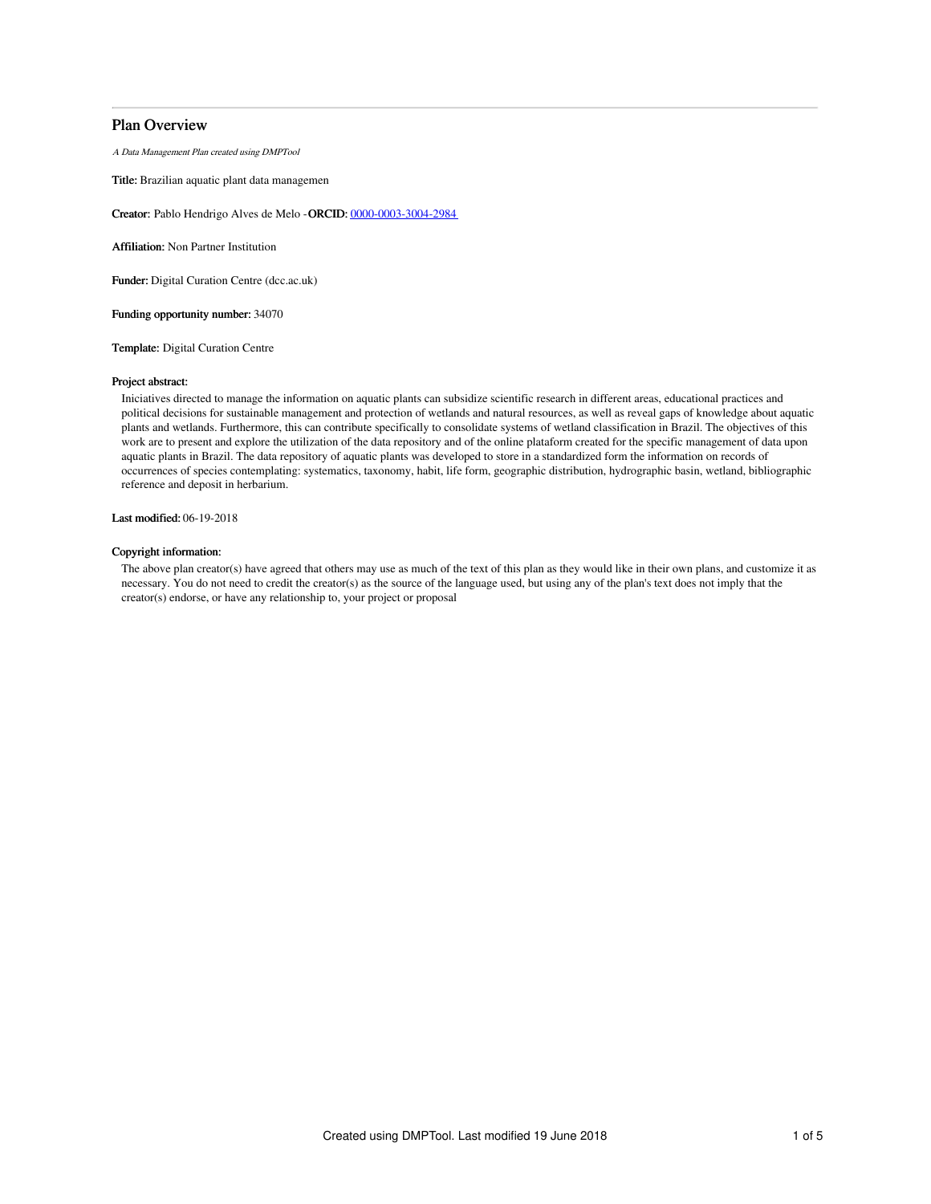# Plan Overview

A Data Management Plan created using DMPTool

Title: Brazilian aquatic plant data managemen

Creator: Pablo Hendrigo Alves de Melo -ORCID: [0000-0003-3004-2984](https://orcid.org/0000-0003-3004-2984)

Affiliation: Non Partner Institution

Funder: Digital Curation Centre (dcc.ac.uk)

Funding opportunity number: 34070

Template: Digital Curation Centre

## Project abstract:

Iniciatives directed to manage the information on aquatic plants can subsidize scientific research in different areas, educational practices and political decisions for sustainable management and protection of wetlands and natural resources, as well as reveal gaps of knowledge about aquatic plants and wetlands. Furthermore, this can contribute specifically to consolidate systems of wetland classification in Brazil. The objectives of this work are to present and explore the utilization of the data repository and of the online plataform created for the specific management of data upon aquatic plants in Brazil. The data repository of aquatic plants was developed to store in a standardized form the information on records of occurrences of species contemplating: systematics, taxonomy, habit, life form, geographic distribution, hydrographic basin, wetland, bibliographic reference and deposit in herbarium.

Last modified: 06-19-2018

# Copyright information:

The above plan creator(s) have agreed that others may use as much of the text of this plan as they would like in their own plans, and customize it as necessary. You do not need to credit the creator(s) as the source of the language used, but using any of the plan's text does not imply that the creator(s) endorse, or have any relationship to, your project or proposal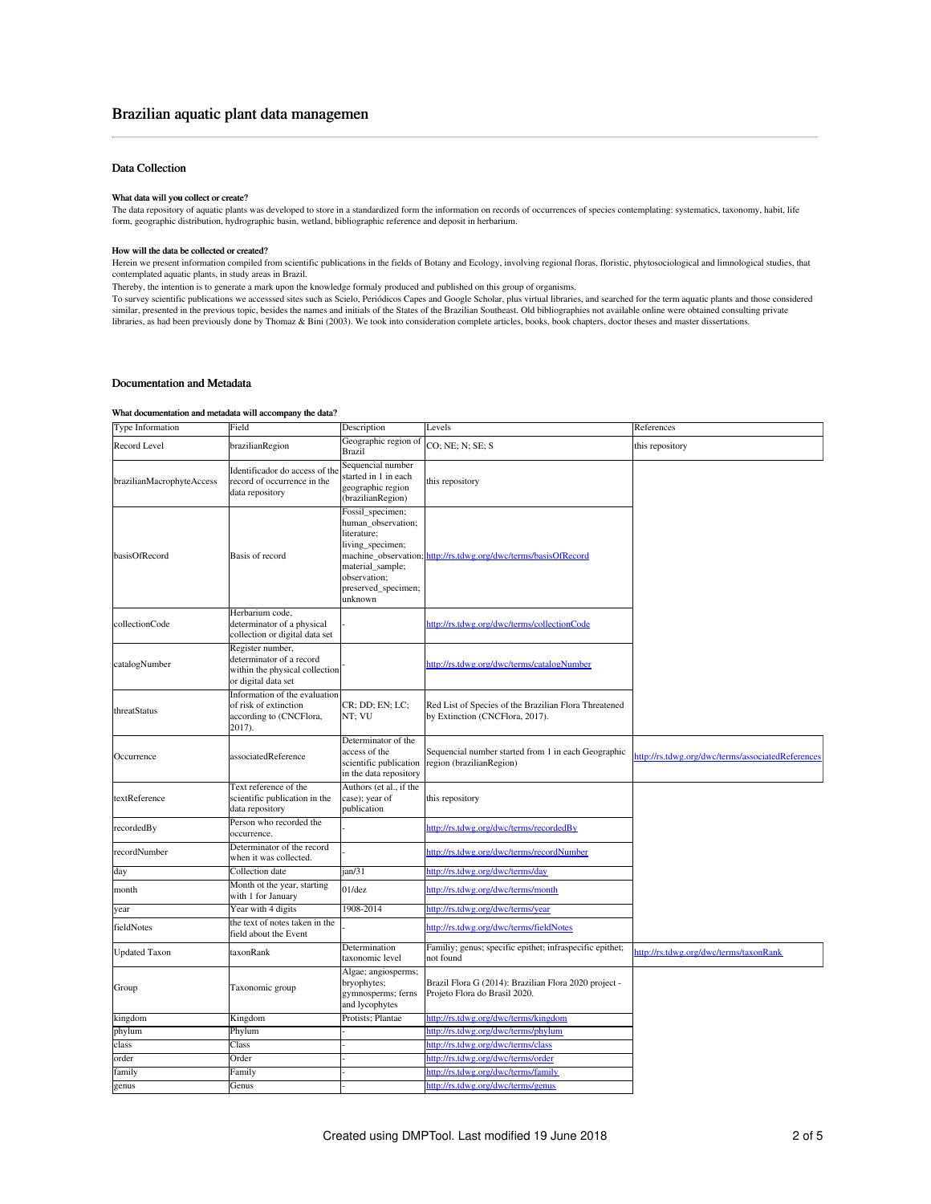# Data Collection

#### What data will you collect or create?

The data repository of aquatic plants was developed to store in a standardized form the information on records of occurrences of species contemplating: systematics, taxonomy, habit, life form, geographic distribution, hydrographic basin, wetland, bibliographic reference and deposit in herbarium.

## How will the data be collected or created?

Herein we present information compiled from scientific publications in the fields of Botany and Ecology, involving regional floras, floristic, phytosociological and limnological studies, that<br>contemplated aquatic plants, i

Thereby, the intention is to generate a mark upon the knowledge formaly produced and published on this group of organisms.

To survey scientific publications we accesssed sites such as Scielo, Periódicos Capes and Google Scholar, plus virtual libraries, and searched for the term aquatic plants and those considered<br>similar, presented in the prev

# Documentation and Metadata

#### What documentation and metadata will accompany the data?

| Type Information          | Field                                                                                                 | Description                                                                                                                                     | Levels                                                                                   | References                                        |
|---------------------------|-------------------------------------------------------------------------------------------------------|-------------------------------------------------------------------------------------------------------------------------------------------------|------------------------------------------------------------------------------------------|---------------------------------------------------|
| Record Level              | brazilianRegion                                                                                       | Geographic region of<br>Brazil                                                                                                                  | CO; NE; N; SE; S                                                                         | this repository                                   |
| brazilianMacrophyteAccess | Identificador do access of the<br>record of occurrence in the<br>data repository                      | Sequencial number<br>started in 1 in each<br>geographic region<br>(brazilianRegion)                                                             | this repository                                                                          |                                                   |
| basisOfRecord             | Basis of record                                                                                       | Fossil_specimen;<br>human_observation;<br>literature:<br>living_specimen;<br>material sample;<br>observation;<br>preserved_specimen;<br>unknown | machine_observation; http://rs.tdwg.org/dwc/terms/basisOfRecord                          |                                                   |
| collectionCode            | Herbarium code,<br>determinator of a physical<br>collection or digital data set                       |                                                                                                                                                 | http://rs.tdwg.org/dwc/terms/collectionCode                                              |                                                   |
| catalogNumber             | Register number,<br>determinator of a record<br>within the physical collection<br>or digital data set |                                                                                                                                                 | http://rs.tdwg.org/dwc/terms/catalogNumber                                               |                                                   |
| threatStatus              | Information of the evaluation<br>of risk of extinction<br>according to (CNCFlora,<br>2017).           | CR; DD; EN; LC;<br>NT; VU                                                                                                                       | Red List of Species of the Brazilian Flora Threatened<br>by Extinction (CNCFlora, 2017). |                                                   |
| Occurrence                | associatedReference                                                                                   | Determinator of the<br>access of the<br>scientific publication<br>in the data repository                                                        | Sequencial number started from 1 in each Geographic<br>region (brazilianRegion)          | http://rs.tdwg.org/dwc/terms/associatedReferences |
| textReference             | Text reference of the<br>scientific publication in the<br>data repository                             | Authors (et al., if the<br>case); year of<br>publication                                                                                        | this repository                                                                          |                                                   |
| recordedBy                | Person who recorded the<br>occurrence.                                                                |                                                                                                                                                 | http://rs.tdwg.org/dwc/terms/recordedBy                                                  |                                                   |
| recordNumber              | Determinator of the record<br>when it was collected.                                                  |                                                                                                                                                 | http://rs.tdwg.org/dwc/terms/recordNumber                                                |                                                   |
| day                       | Collection date                                                                                       | jan/31                                                                                                                                          | http://rs.tdwg.org/dwc/terms/day                                                         |                                                   |
| month                     | Month ot the year, starting<br>with 1 for January                                                     | $01$ /dez                                                                                                                                       | http://rs.tdwg.org/dwc/terms/month                                                       |                                                   |
| year                      | Year with 4 digits                                                                                    | 1908-2014                                                                                                                                       | http://rs.tdwg.org/dwc/terms/year                                                        |                                                   |
| fieldNotes                | the text of notes taken in the<br>field about the Event                                               |                                                                                                                                                 | http://rs.tdwg.org/dwc/terms/fieldNotes                                                  |                                                   |
| <b>Updated Taxon</b>      | taxonRank                                                                                             | Determination<br>taxonomic level                                                                                                                | Familiy; genus; specific epithet; infraspecific epithet;<br>not found                    | http://rs.tdwg.org/dwc/terms/taxonRank            |
| Group                     | Taxonomic group                                                                                       | Algae; angiosperms;<br>bryophytes;<br>gymnosperms; ferns<br>and lycophytes                                                                      | Brazil Flora G (2014): Brazilian Flora 2020 project -<br>Projeto Flora do Brasil 2020.   |                                                   |
| kingdom                   | Kingdom                                                                                               | Protists; Plantae                                                                                                                               | http://rs.tdwg.org/dwc/terms/kingdom                                                     |                                                   |
| phylum                    | Phylum                                                                                                |                                                                                                                                                 | http://rs.tdwg.org/dwc/terms/phylum                                                      |                                                   |
| class                     | Class                                                                                                 |                                                                                                                                                 | nttp://rs.tdwg.org/dwc/terms/class                                                       |                                                   |
| order                     | Order                                                                                                 |                                                                                                                                                 | http://rs.tdwg.org/dwc/terms/order                                                       |                                                   |
| family                    | Family                                                                                                |                                                                                                                                                 | nttp://rs.tdwg.org/dwc/terms/family                                                      |                                                   |
| genus                     | Genus                                                                                                 |                                                                                                                                                 | http://rs.tdwg.org/dwc/terms/genus                                                       |                                                   |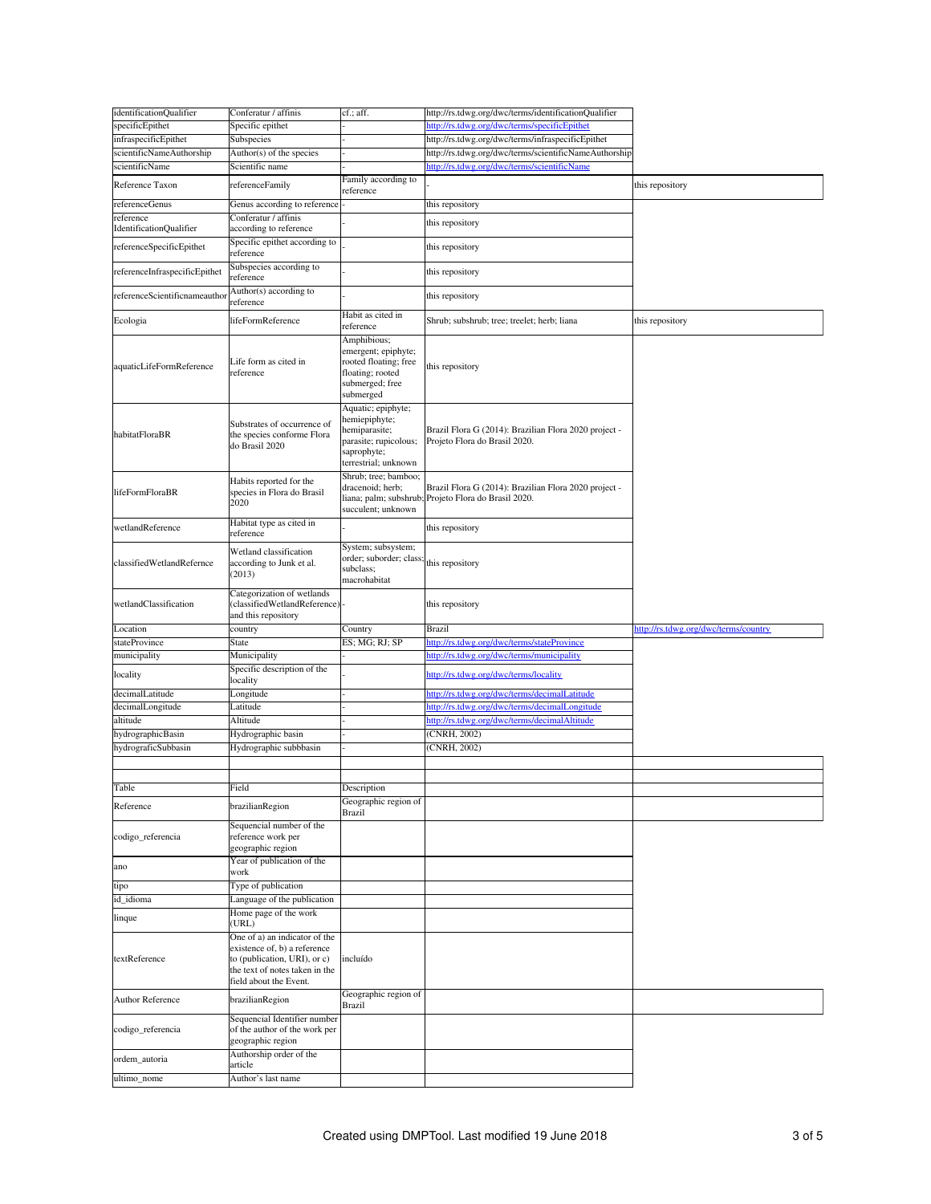| identificationQualifier              | Conferatur / affinis                                                                                                                                      | cf.; aff.                                                                                                            | http://rs.tdwg.org/dwc/terms/identificationQualifier                                   |                                      |
|--------------------------------------|-----------------------------------------------------------------------------------------------------------------------------------------------------------|----------------------------------------------------------------------------------------------------------------------|----------------------------------------------------------------------------------------|--------------------------------------|
| specificEpithet                      | Specific epithet                                                                                                                                          |                                                                                                                      | http://rs.tdwg.org/dwc/terms/specificEpithet                                           |                                      |
| infraspecificEpithet                 | Subspecies                                                                                                                                                |                                                                                                                      | http://rs.tdwg.org/dwc/terms/infraspecificEpithet                                      |                                      |
| scientificNameAuthorship             | Author(s) of the species                                                                                                                                  |                                                                                                                      | http://rs.tdwg.org/dwc/terms/scientificNameAuthorship                                  |                                      |
| scientificName                       | Scientific name                                                                                                                                           |                                                                                                                      | http://rs.tdwg.org/dwc/terms/scientificName                                            |                                      |
| Reference Taxon                      | referenceFamily                                                                                                                                           | Family according to<br>reference                                                                                     |                                                                                        | this repository                      |
| referenceGenus                       | Genus according to reference                                                                                                                              |                                                                                                                      | this repository                                                                        |                                      |
| reference<br>IdentificationQualifier | Conferatur / affinis<br>according to reference                                                                                                            |                                                                                                                      | this repository                                                                        |                                      |
| referenceSpecificEpithet             | Specific epithet according to<br>reference                                                                                                                |                                                                                                                      | this repository                                                                        |                                      |
| referenceInfraspecificEpithet        | Subspecies according to                                                                                                                                   |                                                                                                                      | this repository                                                                        |                                      |
| referenceScientificnameautho         | reference<br>Author(s) according to                                                                                                                       |                                                                                                                      | this repository                                                                        |                                      |
|                                      | reference                                                                                                                                                 | Habit as cited in                                                                                                    |                                                                                        |                                      |
| Ecologia                             | lifeFormReference                                                                                                                                         | reference                                                                                                            | Shrub; subshrub; tree; treelet; herb; liana                                            | this repository                      |
| aquaticLifeFormReference             | Life form as cited in<br>reference                                                                                                                        | Amphibious;<br>emergent; epiphyte;<br>rooted floating; free<br>floating; rooted<br>submerged; free<br>submerged      | this repository                                                                        |                                      |
| habitatFloraBR                       | Substrates of occurrence of<br>the species conforme Flora<br>do Brasil 2020                                                                               | Aquatic; epiphyte;<br>hemiepiphyte;<br>hemiparasite;<br>parasite; rupicolous;<br>saprophyte;<br>terrestrial; unknown | Brazil Flora G (2014): Brazilian Flora 2020 project -<br>Projeto Flora do Brasil 2020. |                                      |
| lifeFormFloraBR                      | Habits reported for the<br>species in Flora do Brasil<br>2020                                                                                             | Shrub; tree; bamboo;<br>dracenoid; herb;<br>liana; palm; subshrub<br>succulent; unknown                              | Brazil Flora G (2014): Brazilian Flora 2020 project -<br>Projeto Flora do Brasil 2020. |                                      |
| wetlandReference                     | Habitat type as cited in<br>reference                                                                                                                     |                                                                                                                      | this repository                                                                        |                                      |
| classifiedWetlandRefernce            | Wetland classification<br>according to Junk et al.<br>(2013)                                                                                              | System; subsystem;<br>order; suborder; class<br>subclass;<br>macrohabitat                                            | this repository                                                                        |                                      |
|                                      | Categorization of wetlands                                                                                                                                |                                                                                                                      |                                                                                        |                                      |
| wetlandClassification                | (classifiedWetlandReference)<br>and this repository                                                                                                       |                                                                                                                      | this repository                                                                        |                                      |
| Location                             | country                                                                                                                                                   | Country                                                                                                              | Brazil                                                                                 | http://rs.tdwg.org/dwc/terms/country |
| stateProvince                        | State                                                                                                                                                     | ES; MG; RJ; SP                                                                                                       | nttp://rs.tdwg.org/dwc/terms/stateProvince                                             |                                      |
| municipality                         | Municipality                                                                                                                                              |                                                                                                                      | tdwg.org/dwc/terms/municipality<br>ittp://rs.                                          |                                      |
| locality                             | Specific description of the<br>locality                                                                                                                   |                                                                                                                      | http://rs.tdwg.org/dwc/terms/locality                                                  |                                      |
| decimalLatitude                      | Longitude                                                                                                                                                 |                                                                                                                      | http://rs.tdwg.org/dwc/terms/decimalLatitude                                           |                                      |
| decimalLongitude                     | Latitude                                                                                                                                                  |                                                                                                                      | http://rs.tdwg.org/dwc/terms/decimalLongitude                                          |                                      |
| altitude                             | Altitude                                                                                                                                                  |                                                                                                                      | http://rs.tdwg.org/dwc/terms/decimalAltitude                                           |                                      |
| hydrographicBasin                    | Hydrographic basin                                                                                                                                        |                                                                                                                      | (CNRH, 2002)                                                                           |                                      |
| hydrograficSubbasin                  | Hydrographic subbbasin                                                                                                                                    |                                                                                                                      | $\overline{\text{CNRH}, 2002}$                                                         |                                      |
|                                      |                                                                                                                                                           |                                                                                                                      |                                                                                        |                                      |
|                                      |                                                                                                                                                           |                                                                                                                      |                                                                                        |                                      |
| Table<br>Reference                   | Field<br>brazilianRegion                                                                                                                                  | Description<br>Geographic region of                                                                                  |                                                                                        |                                      |
| codigo_referencia                    | Sequencial number of the<br>reference work per<br>geographic region                                                                                       | Brazil                                                                                                               |                                                                                        |                                      |
| ano                                  | Year of publication of the<br>work                                                                                                                        |                                                                                                                      |                                                                                        |                                      |
| tipo                                 | Type of publication                                                                                                                                       |                                                                                                                      |                                                                                        |                                      |
| id_idioma                            | anguage of the publication                                                                                                                                |                                                                                                                      |                                                                                        |                                      |
|                                      |                                                                                                                                                           |                                                                                                                      |                                                                                        |                                      |
| linque                               | Home page of the work<br>URL)                                                                                                                             |                                                                                                                      |                                                                                        |                                      |
| textReference                        | One of a) an indicator of the<br>existence of, b) a reference<br>to (publication, URI), or c)<br>the text of notes taken in the<br>field about the Event. | incluído                                                                                                             |                                                                                        |                                      |
| <b>Author Reference</b>              | brazilianRegion                                                                                                                                           | Geographic region of<br>Brazil                                                                                       |                                                                                        |                                      |
| codigo_referencia                    | Sequencial Identifier number<br>of the author of the work per<br>geographic region                                                                        |                                                                                                                      |                                                                                        |                                      |
| ordem_autoria                        | Authorship order of the<br>article                                                                                                                        |                                                                                                                      |                                                                                        |                                      |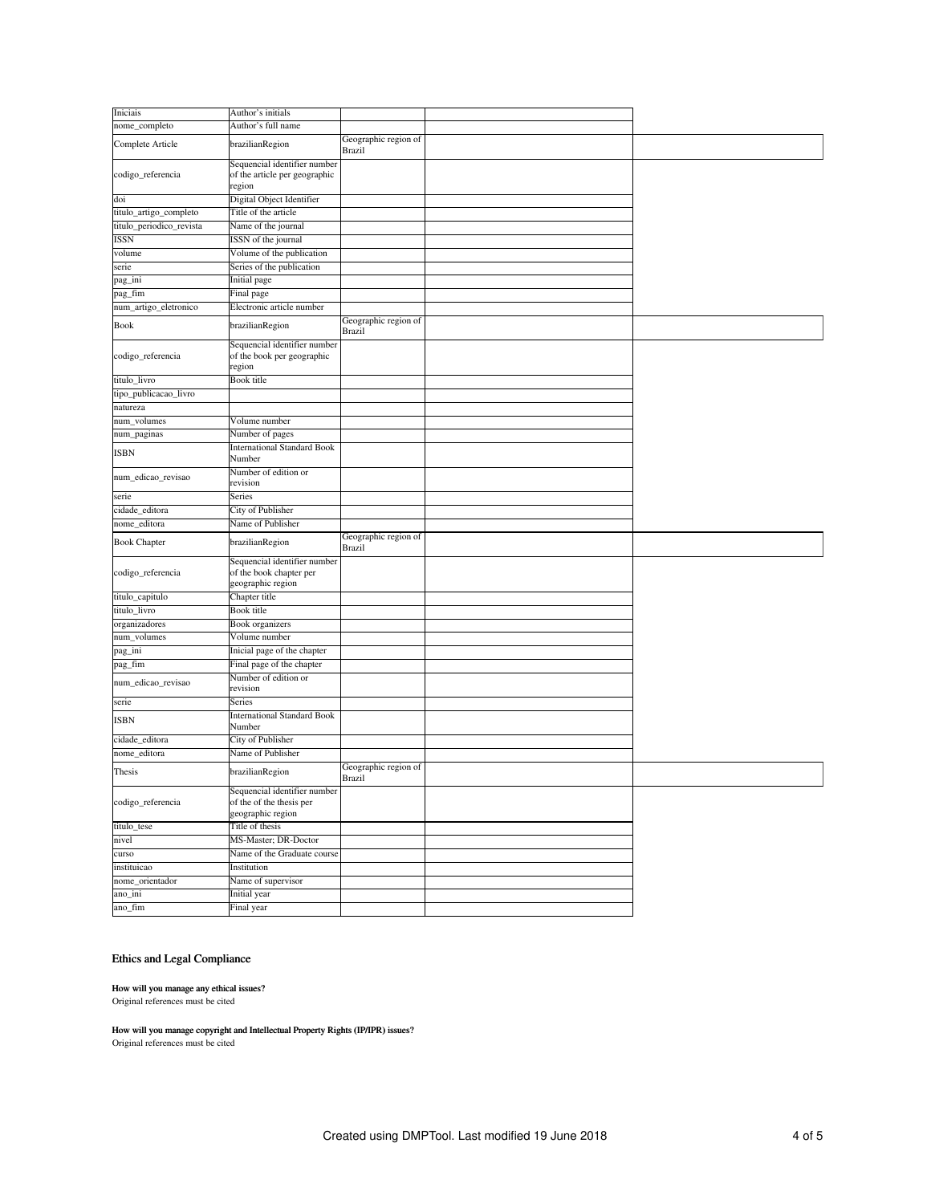| Iniciais                 | Author's initials                                                             |                                       |  |
|--------------------------|-------------------------------------------------------------------------------|---------------------------------------|--|
| nome_completo            | Author's full name                                                            |                                       |  |
| Complete Article         | brazilianRegion                                                               | Geographic region of                  |  |
|                          |                                                                               | <b>Brazil</b>                         |  |
| codigo_referencia        | Sequencial identifier number<br>of the article per geographic<br>region       |                                       |  |
| doi                      | Digital Object Identifier                                                     |                                       |  |
| titulo_artigo_completo   | Title of the article                                                          |                                       |  |
| titulo_periodico_revista | Name of the journal                                                           |                                       |  |
| ISSN                     | ISSN of the journal                                                           |                                       |  |
| volume                   | Volume of the publication                                                     |                                       |  |
| serie                    | Series of the publication                                                     |                                       |  |
| pag_ini                  | Initial page                                                                  |                                       |  |
| pag_fim                  | Final page                                                                    |                                       |  |
| num_artigo_eletronico    | Electronic article number                                                     |                                       |  |
|                          |                                                                               |                                       |  |
| Book                     | brazilianRegion                                                               | Geographic region of<br><b>Brazil</b> |  |
| codigo_referencia        | Sequencial identifier number<br>of the book per geographic<br>region          |                                       |  |
| titulo_livro             | <b>Book</b> title                                                             |                                       |  |
| tipo_publicacao_livro    |                                                                               |                                       |  |
| natureza                 |                                                                               |                                       |  |
| num_volumes              | Volume number                                                                 |                                       |  |
| num_paginas              | Number of pages                                                               |                                       |  |
|                          | <b>International Standard Book</b>                                            |                                       |  |
| <b>ISBN</b>              | Number                                                                        |                                       |  |
| num_edicao_revisao       | Number of edition or<br>revision                                              |                                       |  |
| serie                    | Series                                                                        |                                       |  |
| cidade_editora           | City of Publisher                                                             |                                       |  |
| nome_editora             | Name of Publisher                                                             |                                       |  |
| <b>Book Chapter</b>      | brazilianRegion                                                               | Geographic region of<br><b>Brazil</b> |  |
| codigo_referencia        | Sequencial identifier number<br>of the book chapter per<br>geographic region  |                                       |  |
| titulo_capitulo          | Chapter title                                                                 |                                       |  |
| titulo_livro             | <b>Book title</b>                                                             |                                       |  |
| organizadores            | <b>Book</b> organizers                                                        |                                       |  |
| num_volumes              | Volume number                                                                 |                                       |  |
| pag_ini                  | Inicial page of the chapter                                                   |                                       |  |
| pag_fim                  | Final page of the chapter                                                     |                                       |  |
| num_edicao_revisao       | Number of edition or<br>revision                                              |                                       |  |
| serie                    | Series                                                                        |                                       |  |
| ISBN                     | <b>International Standard Book</b><br>Number                                  |                                       |  |
| cidade editora           | City of Publisher                                                             |                                       |  |
| nome_editora             | Name of Publisher                                                             |                                       |  |
|                          |                                                                               |                                       |  |
| Thesis                   | brazilianRegion                                                               | Geographic region of<br><b>Brazil</b> |  |
| codigo_referencia        | Sequencial identifier number<br>of the of the thesis per<br>geographic region |                                       |  |
| titulo_tese              | Title of thesis                                                               |                                       |  |
| nivel                    | MS-Master; DR-Doctor                                                          |                                       |  |
| curso                    | Name of the Graduate course                                                   |                                       |  |
| instituicao              | Institution                                                                   |                                       |  |
| nome_orientador          | Name of supervisor                                                            |                                       |  |
| ano_ini                  | Initial year                                                                  |                                       |  |
| ano_fim                  | Final year                                                                    |                                       |  |
|                          |                                                                               |                                       |  |

# Ethics and Legal Compliance

#### How will you manage any ethical issues?

Original references must be cited

How will you manage copyright and Intellectual Property Rights (IP/IPR) issues? Original references must be cited